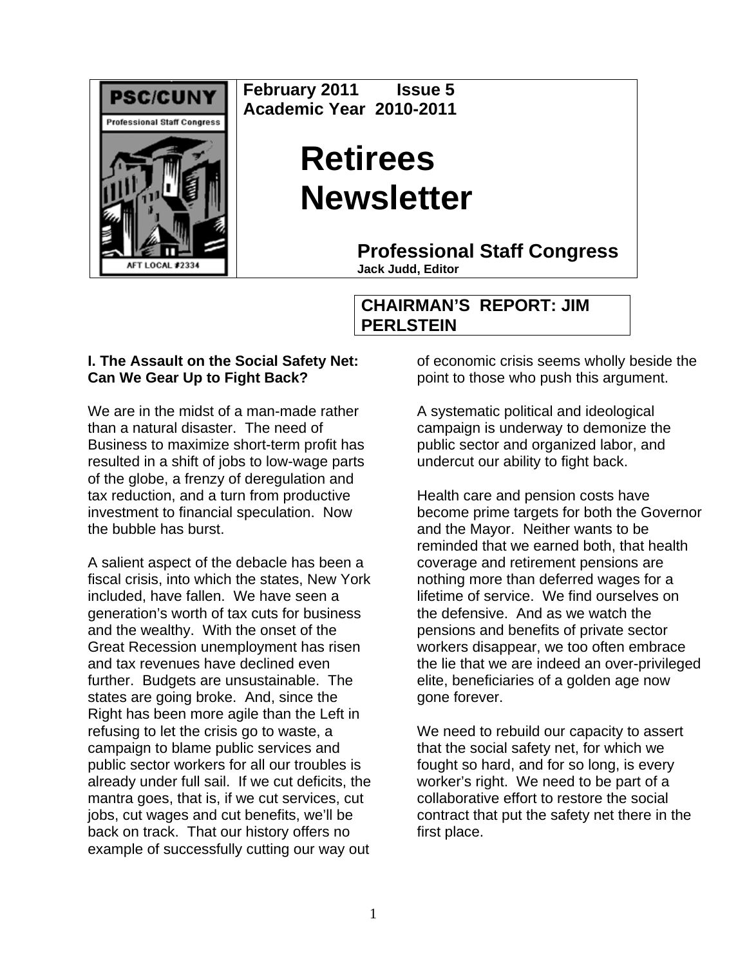

**February 2011 Issue 5 Academic Year 2010-2011** 

# **Retirees Newsletter**

**Professional Staff Congress**

**Jack Judd, Editor**

## **CHAIRMAN'S REPORT: JIM PERLSTEIN**

## **I. The Assault on the Social Safety Net: Can We Gear Up to Fight Back?**

We are in the midst of a man-made rather than a natural disaster. The need of Business to maximize short-term profit has resulted in a shift of jobs to low-wage parts of the globe, a frenzy of deregulation and tax reduction, and a turn from productive investment to financial speculation. Now the bubble has burst.

A salient aspect of the debacle has been a fiscal crisis, into which the states, New York included, have fallen. We have seen a generation's worth of tax cuts for business and the wealthy. With the onset of the Great Recession unemployment has risen and tax revenues have declined even further. Budgets are unsustainable. The states are going broke. And, since the Right has been more agile than the Left in refusing to let the crisis go to waste, a campaign to blame public services and public sector workers for all our troubles is already under full sail. If we cut deficits, the mantra goes, that is, if we cut services, cut jobs, cut wages and cut benefits, we'll be back on track. That our history offers no example of successfully cutting our way out

of economic crisis seems wholly beside the point to those who push this argument.

A systematic political and ideological campaign is underway to demonize the public sector and organized labor, and undercut our ability to fight back.

Health care and pension costs have become prime targets for both the Governor and the Mayor. Neither wants to be reminded that we earned both, that health coverage and retirement pensions are nothing more than deferred wages for a lifetime of service. We find ourselves on the defensive. And as we watch the pensions and benefits of private sector workers disappear, we too often embrace the lie that we are indeed an over-privileged elite, beneficiaries of a golden age now gone forever.

We need to rebuild our capacity to assert that the social safety net, for which we fought so hard, and for so long, is every worker's right. We need to be part of a collaborative effort to restore the social contract that put the safety net there in the first place.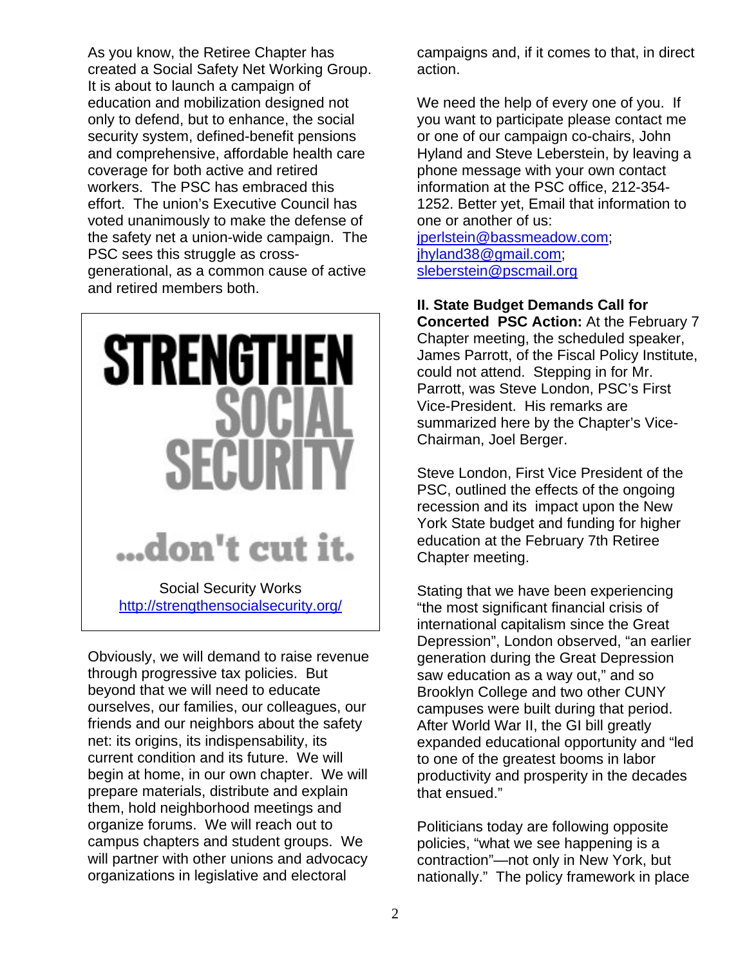As you know, the Retiree Chapter has created a Social Safety Net Working Group. It is about to launch a campaign of education and mobilization designed not only to defend, but to enhance, the social security system, defined-benefit pensions and comprehensive, affordable health care coverage for both active and retired workers. The PSC has embraced this effort. The union's Executive Council has voted unanimously to make the defense of the safety net a union-wide campaign. The PSC sees this struggle as crossgenerational, as a common cause of active and retired members both.



Obviously, we will demand to raise revenue through progressive tax policies. But beyond that we will need to educate ourselves, our families, our colleagues, our friends and our neighbors about the safety net: its origins, its indispensability, its current condition and its future. We will begin at home, in our own chapter. We will prepare materials, distribute and explain them, hold neighborhood meetings and organize forums. We will reach out to campus chapters and student groups. We will partner with other unions and advocacy organizations in legislative and electoral

campaigns and, if it comes to that, in direct action.

We need the help of every one of you. If you want to participate please contact me or one of our campaign co-chairs, John Hyland and Steve Leberstein, by leaving a phone message with your own contact information at the PSC office, 212-354- 1252. Better yet, Email that information to one or another of us:

jperlstein@bassmeadow.com; jhyland38@gmail.com; sleberstein@pscmail.org

## **II. State Budget Demands Call for**

**Concerted PSC Action:** At the February 7 Chapter meeting, the scheduled speaker, James Parrott, of the Fiscal Policy Institute, could not attend. Stepping in for Mr. Parrott, was Steve London, PSC's First Vice-President. His remarks are summarized here by the Chapter's Vice-Chairman, Joel Berger.

Steve London, First Vice President of the PSC, outlined the effects of the ongoing recession and its impact upon the New York State budget and funding for higher education at the February 7th Retiree Chapter meeting.

Stating that we have been experiencing "the most significant financial crisis of international capitalism since the Great Depression", London observed, "an earlier generation during the Great Depression saw education as a way out," and so Brooklyn College and two other CUNY campuses were built during that period. After World War II, the GI bill greatly expanded educational opportunity and "led to one of the greatest booms in labor productivity and prosperity in the decades that ensued."

Politicians today are following opposite policies, "what we see happening is a contraction"—not only in New York, but nationally." The policy framework in place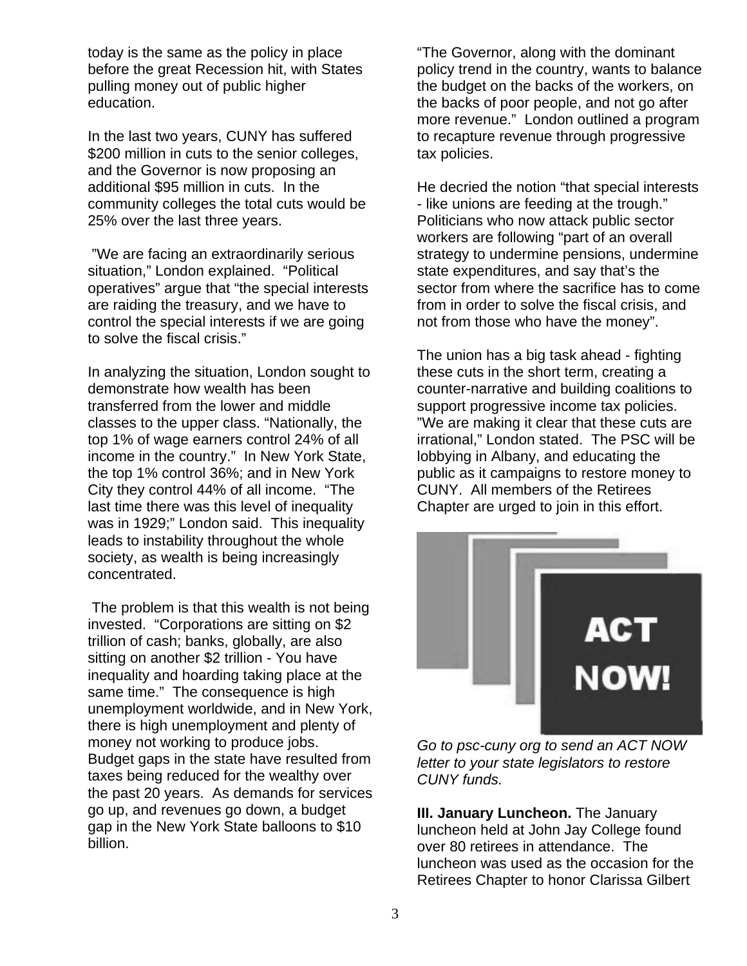today is the same as the policy in place before the great Recession hit, with States pulling money out of public higher education.

In the last two years, CUNY has suffered \$200 million in cuts to the senior colleges, and the Governor is now proposing an additional \$95 million in cuts. In the community colleges the total cuts would be 25% over the last three years.

 "We are facing an extraordinarily serious situation," London explained. "Political operatives" argue that "the special interests are raiding the treasury, and we have to control the special interests if we are going to solve the fiscal crisis."

In analyzing the situation, London sought to demonstrate how wealth has been transferred from the lower and middle classes to the upper class. "Nationally, the top 1% of wage earners control 24% of all income in the country." In New York State, the top 1% control 36%; and in New York City they control 44% of all income. "The last time there was this level of inequality was in 1929;" London said. This inequality leads to instability throughout the whole society, as wealth is being increasingly concentrated.

 The problem is that this wealth is not being invested. "Corporations are sitting on \$2 trillion of cash; banks, globally, are also sitting on another \$2 trillion - You have inequality and hoarding taking place at the same time." The consequence is high unemployment worldwide, and in New York, there is high unemployment and plenty of money not working to produce jobs. Budget gaps in the state have resulted from taxes being reduced for the wealthy over the past 20 years. As demands for services go up, and revenues go down, a budget gap in the New York State balloons to \$10 billion.

"The Governor, along with the dominant policy trend in the country, wants to balance the budget on the backs of the workers, on the backs of poor people, and not go after more revenue." London outlined a program to recapture revenue through progressive tax policies.

He decried the notion "that special interests - like unions are feeding at the trough." Politicians who now attack public sector workers are following "part of an overall strategy to undermine pensions, undermine state expenditures, and say that's the sector from where the sacrifice has to come from in order to solve the fiscal crisis, and not from those who have the money".

The union has a big task ahead - fighting these cuts in the short term, creating a counter-narrative and building coalitions to support progressive income tax policies. "We are making it clear that these cuts are irrational," London stated. The PSC will be lobbying in Albany, and educating the public as it campaigns to restore money to CUNY. All members of the Retirees Chapter are urged to join in this effort.



*Go to psc-cuny org to send an ACT NOW letter to your state legislators to restore CUNY funds.* 

**III. January Luncheon.** The January luncheon held at John Jay College found over 80 retirees in attendance. The luncheon was used as the occasion for the Retirees Chapter to honor Clarissa Gilbert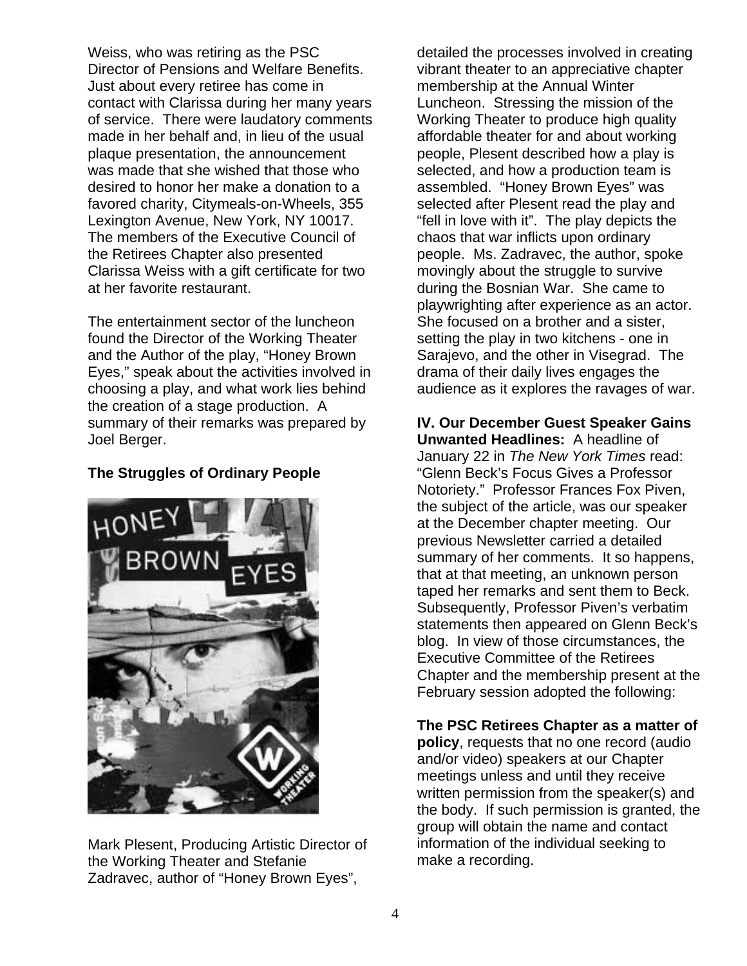Weiss, who was retiring as the PSC Director of Pensions and Welfare Benefits. Just about every retiree has come in contact with Clarissa during her many years of service. There were laudatory comments made in her behalf and, in lieu of the usual plaque presentation, the announcement was made that she wished that those who desired to honor her make a donation to a favored charity, Citymeals-on-Wheels, 355 Lexington Avenue, New York, NY 10017. The members of the Executive Council of the Retirees Chapter also presented Clarissa Weiss with a gift certificate for two at her favorite restaurant.

The entertainment sector of the luncheon found the Director of the Working Theater and the Author of the play, "Honey Brown Eyes," speak about the activities involved in choosing a play, and what work lies behind the creation of a stage production. A summary of their remarks was prepared by Joel Berger.

### **The Struggles of Ordinary People**



Mark Plesent, Producing Artistic Director of the Working Theater and Stefanie Zadravec, author of "Honey Brown Eyes",

detailed the processes involved in creating vibrant theater to an appreciative chapter membership at the Annual Winter Luncheon. Stressing the mission of the Working Theater to produce high quality affordable theater for and about working people, Plesent described how a play is selected, and how a production team is assembled. "Honey Brown Eyes" was selected after Plesent read the play and "fell in love with it". The play depicts the chaos that war inflicts upon ordinary people. Ms. Zadravec, the author, spoke movingly about the struggle to survive during the Bosnian War. She came to playwrighting after experience as an actor. She focused on a brother and a sister, setting the play in two kitchens - one in Sarajevo, and the other in Visegrad. The drama of their daily lives engages the audience as it explores the ravages of war.

**IV. Our December Guest Speaker Gains Unwanted Headlines:** A headline of January 22 in *The New York Times* read: "Glenn Beck's Focus Gives a Professor Notoriety." Professor Frances Fox Piven, the subject of the article, was our speaker at the December chapter meeting. Our previous Newsletter carried a detailed summary of her comments. It so happens, that at that meeting, an unknown person taped her remarks and sent them to Beck. Subsequently, Professor Piven's verbatim statements then appeared on Glenn Beck's blog. In view of those circumstances, the Executive Committee of the Retirees Chapter and the membership present at the February session adopted the following:

**The PSC Retirees Chapter as a matter of policy**, requests that no one record (audio and/or video) speakers at our Chapter meetings unless and until they receive written permission from the speaker(s) and the body. If such permission is granted, the group will obtain the name and contact information of the individual seeking to make a recording.